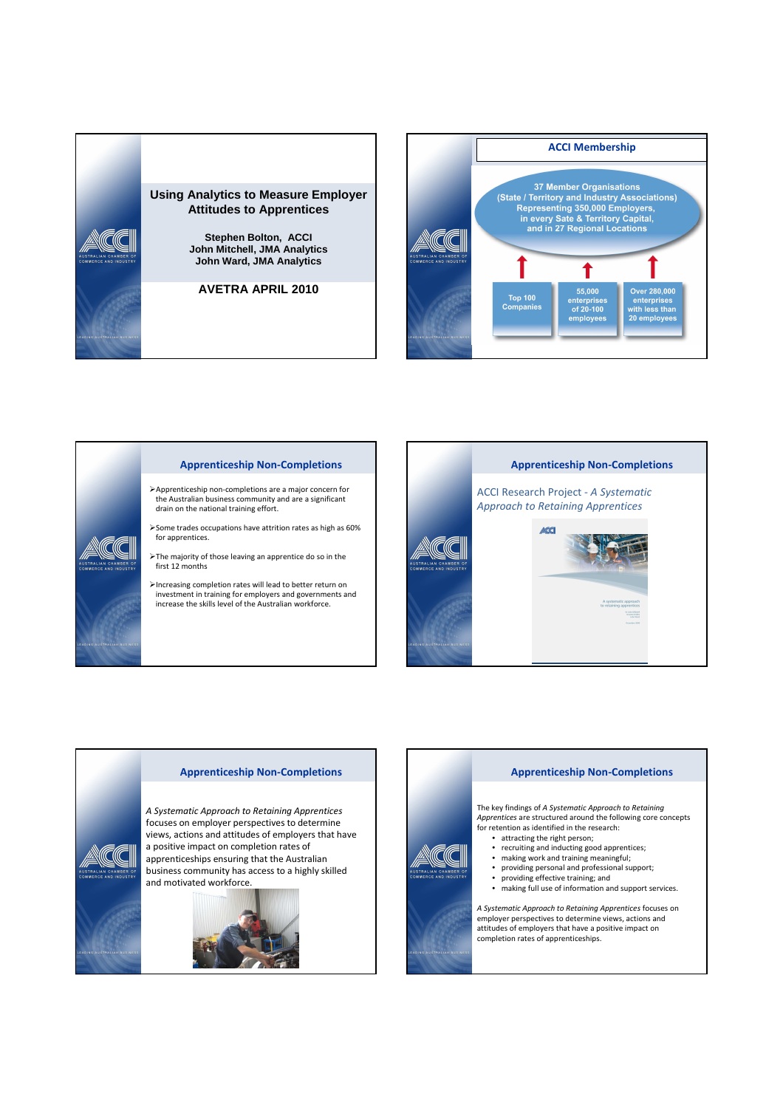



#### Apprenticeship Non-Completions

- Apprenticeship non-completions are a major concern for the Australian business community and are a significant drain on the national training effort.
- Some trades occupations have attrition rates as high as 60% for apprentices.
- The majority of those leaving an apprentice do so in the first 12 months
- Increasing completion rates will lead to better return on investment in training for employers and governments and increase the skills level of the Australian workforce.



## Apprenticeship Non-Completions

A Systematic Approach to Retaining Apprentices focuses on employer perspectives to determine views, actions and attitudes of employers that have a positive impact on completion rates of apprenticeships ensuring that the Australian business community has access to a highly skilled and motivated workforce.



#### Apprenticeship Non-Completions

The key findings of A Systematic Approach to Retaining Apprentices are structured around the following core concepts *Apprentices* are structured around the rom

- attracting the right person;
- recruiting and inducting good apprentices;
- 
- making work and training meaningful; providing personal and professional support;
- providing effective training; and
- making full use of information and support services.

A Systematic Approach to Retaining Apprentices focuses on employer perspectives to determine views, actions and attitudes of employers that have a positive impact on completion rates of apprenticeships.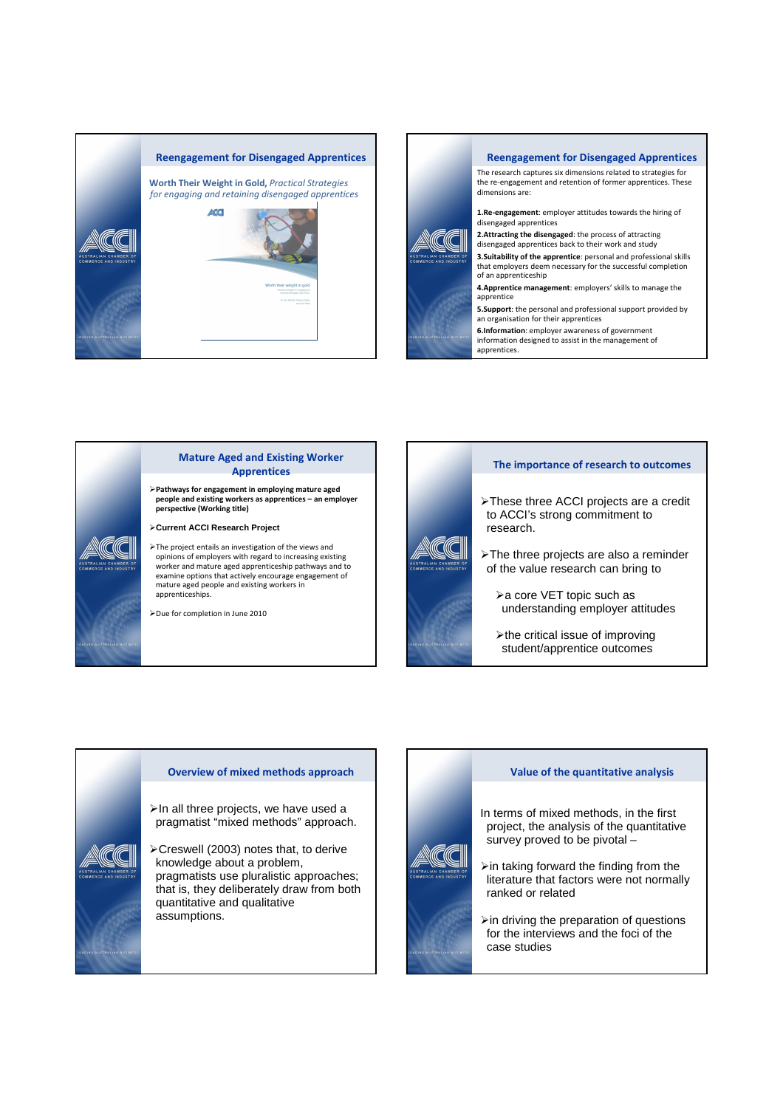



# Mature Aged and Existing Worker Apprentices

Pathways for engagement in employing mature aged people and existing workers as apprentices – an employer perspective (Working title)

**Current ACCI Research Project**

The project entails an investigation of the views and opinions of employers with regard to increasing existing worker and mature aged apprenticeship pathways and to examine options that actively encourage engagement of mature aged people and existing workers in apprenticeships.

Due for completion in June 2010



- >These three ACCI projects are a credit to ACCI's strong commitment to research.
- > The three projects are also a reminder of the value research can bring to
	- > a core VET topic such as understanding employer attitudes
	- $\blacktriangleright$  the critical issue of improving student/apprentice outcomes

#### Overview of mixed methods approach

 $\triangleright$  In all three projects, we have used a pragmatist "mixed methods" approach.

Creswell (2003) notes that, to derive knowledge about a problem, pragmatists use pluralistic approaches; that is, they deliberately draw from both quantitative and qualitative assumptions.

#### Value of the quantitative analysis

In terms of mixed methods, in the first project, the analysis of the quantitative survey proved to be pivotal –

 $\triangleright$  in taking forward the finding from the literature that factors were not normally ranked or related

 $\triangleright$  in driving the preparation of questions for the interviews and the foci of the case studies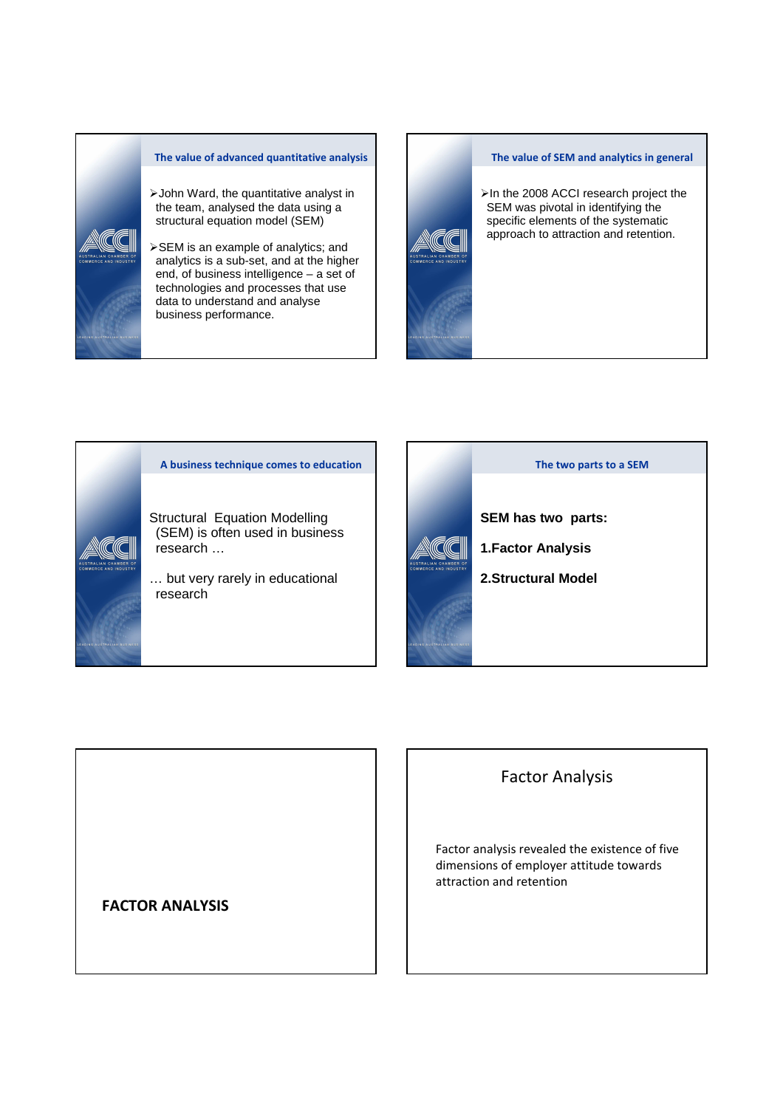

### The value of advanced quantitative analysis

- John Ward, the quantitative analyst in the team, analysed the data using a structural equation model (SEM)
- SEM is an example of analytics; and analytics is a sub-set, and at the higher end, of business intelligence – a set of technologies and processes that use data to understand and analyse business performance.



#### The value of SEM and analytics in general

>In the 2008 ACCI research project the SEM was pivotal in identifying the specific elements of the systematic approach to attraction and retention.





# Factor Analysis

Factor analysis revealed the existence of five dimensions of employer attitude towards attraction and retention

# FACTOR ANALYSIS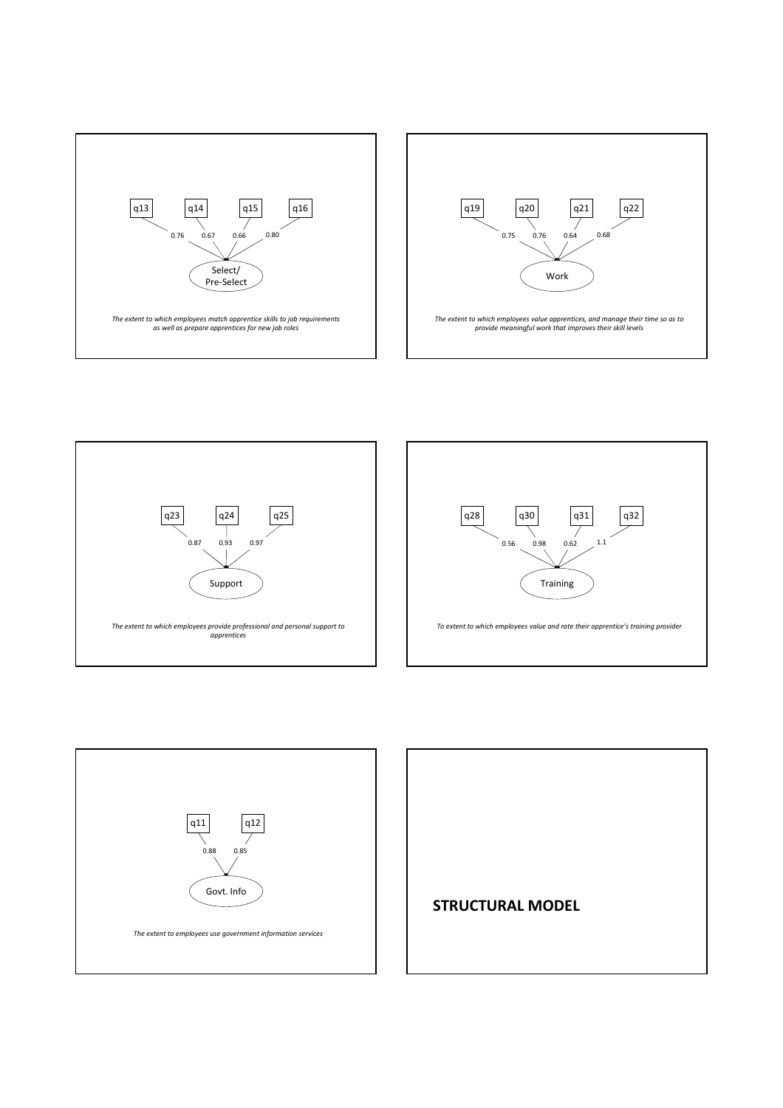